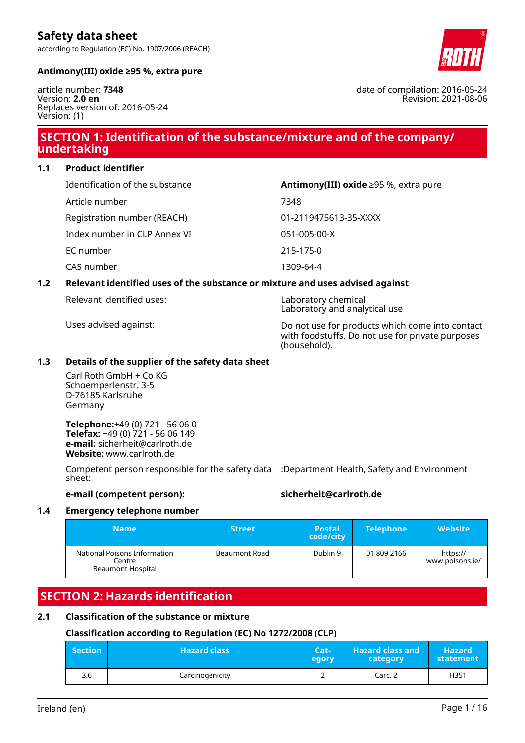according to Regulation (EC) No. 1907/2006 (REACH)

**Antimony(III) oxide ≥95 %, extra pure**

article number: **7348** Version: **2.0 en** Replaces version of: 2016-05-24 Version: (1)

### **SECTION 1: Identification of the substance/mixture and of the company/ undertaking**

**1.1 Product identifier**

| Identification of the substance | Antimony(III) oxide $\geq$ 95 %, extra pure |
|---------------------------------|---------------------------------------------|
| Article number                  | 7348                                        |
| Registration number (REACH)     | 01-2119475613-35-XXXX                       |
| Index number in CLP Annex VI    | 051-005-00-X                                |
| EC number                       | 215-175-0                                   |
| CAS number                      | 1309-64-4                                   |

### **1.2 Relevant identified uses of the substance or mixture and uses advised against**

Relevant identified uses: Laboratory chemical

Uses advised against: Do not use for products which come into contact with foodstuffs. Do not use for private purposes (household).

Laboratory and analytical use

### **1.3 Details of the supplier of the safety data sheet**

Carl Roth GmbH + Co KG Schoemperlenstr. 3-5 D-76185 Karlsruhe Germany

**Telephone:**+49 (0) 721 - 56 06 0 **Telefax:** +49 (0) 721 - 56 06 149 **e-mail:** sicherheit@carlroth.de **Website:** www.carlroth.de

Competent person responsible for the safety data :Department Health, Safety and Environment sheet:

### **e-mail (competent person): sicherheit@carlroth.de**

### **1.4 Emergency telephone number**

| <b>Name</b>                                                 | <b>Street</b>        | <b>Postal</b><br>code/city | <b>Telephone</b> | <b>Website</b>              |
|-------------------------------------------------------------|----------------------|----------------------------|------------------|-----------------------------|
| National Poisons Information<br>Centre<br>Beaumont Hospital | <b>Beaumont Road</b> | Dublin 9                   | 01 809 2166      | https://<br>www.poisons.ie/ |

# **SECTION 2: Hazards identification**

### **2.1 Classification of the substance or mixture**

### **Classification according to Regulation (EC) No 1272/2008 (CLP)**

| <b>Section</b> | <b>Hazard class</b> | Cat-<br>egory | <b>Hazard class and</b><br>category | <b>Hazard</b><br>statement |
|----------------|---------------------|---------------|-------------------------------------|----------------------------|
| 3.6            | Carcinogenicity     |               | Carc. 2                             | H351                       |



date of compilation: 2016-05-24 Revision: 2021-08-06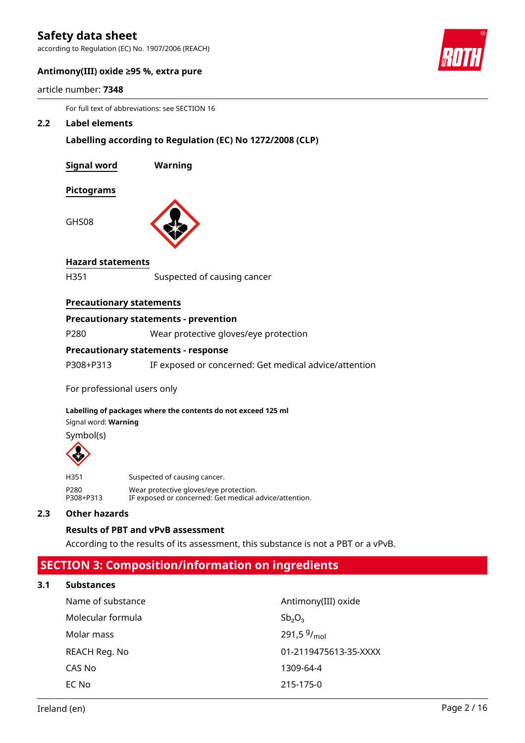according to Regulation (EC) No. 1907/2006 (REACH)



### **Antimony(III) oxide ≥95 %, extra pure**

| article number: 7348 |
|----------------------|
|----------------------|

For full text of abbreviations: see SECTION 16

#### **2.2 Label elements**

**Labelling according to Regulation (EC) No 1272/2008 (CLP)**

| <b>Signal word</b> | Warning |
|--------------------|---------|
| Pictograms         |         |
| GHS08              |         |

### **Hazard statements**

H351 Suspected of causing cancer

### **Precautionary statements**

### **Precautionary statements - prevention**

P280 Wear protective gloves/eye protection

### **Precautionary statements - response**

P308+P313 IF exposed or concerned: Get medical advice/attention

For professional users only

### **Labelling of packages where the contents do not exceed 125 ml**

Signal word: **Warning**

Symbol(s)



| H351      | Suspected of causing cancer.                           |
|-----------|--------------------------------------------------------|
| P280      | Wear protective gloves/eye protection.                 |
| P308+P313 | IF exposed or concerned: Get medical advice/attention. |

### **2.3 Other hazards**

### **Results of PBT and vPvB assessment**

According to the results of its assessment, this substance is not a PBT or a vPvB.

### **SECTION 3: Composition/information on ingredients**

#### **3.1 Substances**

| Name of substance | Antimony(III) oxide   |
|-------------------|-----------------------|
| Molecular formula | $Sb_2O_3$             |
| Molar mass        | 291,5 $9/_{mol}$      |
| REACH Reg. No     | 01-2119475613-35-XXXX |
| CAS No            | 1309-64-4             |
| EC No             | 215-175-0             |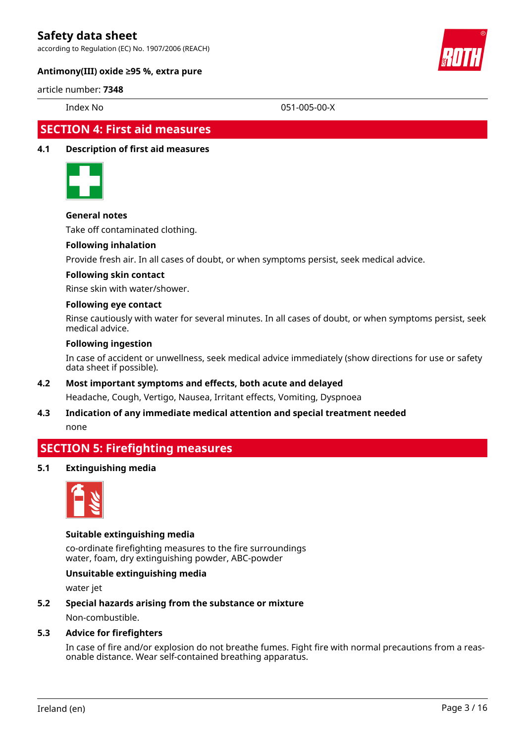according to Regulation (EC) No. 1907/2006 (REACH)



### **Antimony(III) oxide ≥95 %, extra pure**

### article number: **7348**

Index No 051-005-00-X

### **SECTION 4: First aid measures**

### **4.1 Description of first aid measures**



### **General notes**

Take off contaminated clothing.

### **Following inhalation**

Provide fresh air. In all cases of doubt, or when symptoms persist, seek medical advice.

### **Following skin contact**

Rinse skin with water/shower.

### **Following eye contact**

Rinse cautiously with water for several minutes. In all cases of doubt, or when symptoms persist, seek medical advice.

### **Following ingestion**

In case of accident or unwellness, seek medical advice immediately (show directions for use or safety data sheet if possible).

### **4.2 Most important symptoms and effects, both acute and delayed**

Headache, Cough, Vertigo, Nausea, Irritant effects, Vomiting, Dyspnoea

# **4.3 Indication of any immediate medical attention and special treatment needed**

none

### **SECTION 5: Firefighting measures**

### **5.1 Extinguishing media**



### **Suitable extinguishing media**

co-ordinate firefighting measures to the fire surroundings water, foam, dry extinguishing powder, ABC-powder

### **Unsuitable extinguishing media**

water jet

### **5.2 Special hazards arising from the substance or mixture**

Non-combustible.

### **5.3 Advice for firefighters**

In case of fire and/or explosion do not breathe fumes. Fight fire with normal precautions from a reasonable distance. Wear self-contained breathing apparatus.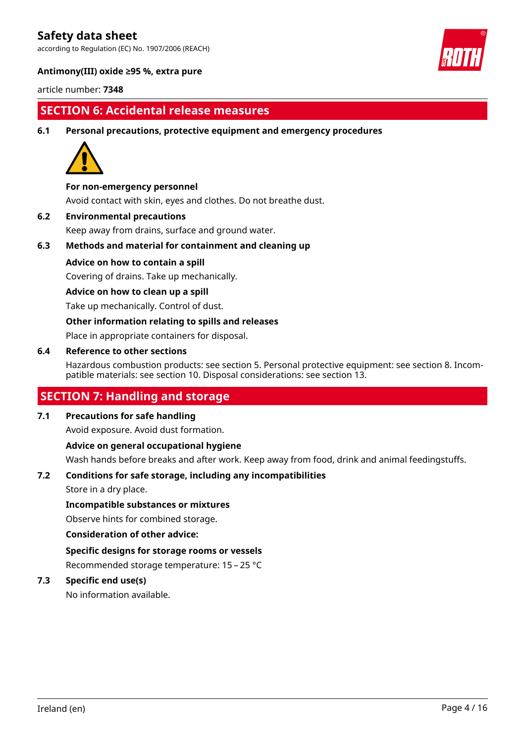according to Regulation (EC) No. 1907/2006 (REACH)



### **Antimony(III) oxide ≥95 %, extra pure**

article number: **7348**

### **SECTION 6: Accidental release measures**

**6.1 Personal precautions, protective equipment and emergency procedures**



### **For non-emergency personnel**

Avoid contact with skin, eyes and clothes. Do not breathe dust.

**6.2 Environmental precautions**

Keep away from drains, surface and ground water.

### **6.3 Methods and material for containment and cleaning up**

### **Advice on how to contain a spill**

Covering of drains. Take up mechanically.

### **Advice on how to clean up a spill**

Take up mechanically. Control of dust.

### **Other information relating to spills and releases**

Place in appropriate containers for disposal.

### **6.4 Reference to other sections**

Hazardous combustion products: see section 5. Personal protective equipment: see section 8. Incompatible materials: see section 10. Disposal considerations: see section 13.

### **SECTION 7: Handling and storage**

### **7.1 Precautions for safe handling**

Avoid exposure. Avoid dust formation.

### **Advice on general occupational hygiene**

Wash hands before breaks and after work. Keep away from food, drink and animal feedingstuffs.

### **7.2 Conditions for safe storage, including any incompatibilities**

Store in a dry place.

### **Incompatible substances or mixtures**

Observe hints for combined storage.

### **Consideration of other advice:**

**Specific designs for storage rooms or vessels** Recommended storage temperature: 15 – 25 °C

### **7.3 Specific end use(s)**

No information available.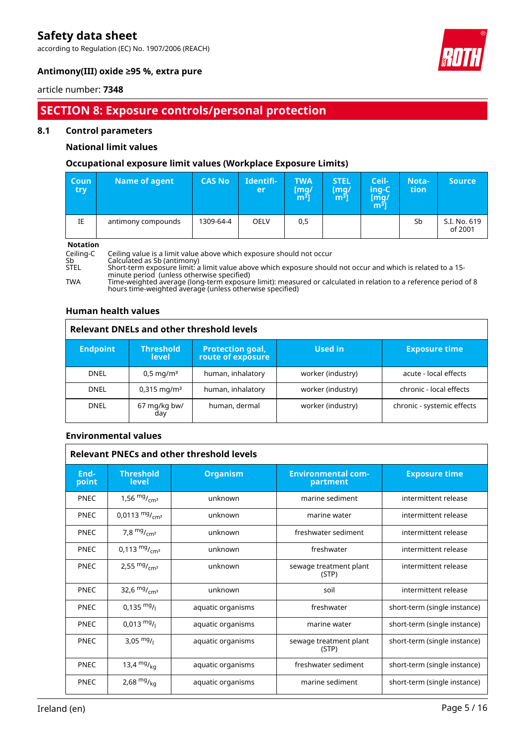according to Regulation (EC) No. 1907/2006 (REACH)



### **Antimony(III) oxide ≥95 %, extra pure**

### article number: **7348**

## **SECTION 8: Exposure controls/personal protection**

### **8.1 Control parameters**

### **National limit values**

### **Occupational exposure limit values (Workplace Exposure Limits)**

| <b>Coun</b><br>try | Name of agent      | <b>CAS No</b> | Identifi-<br>er | <b>TWA</b><br>[mg/<br>m <sup>3</sup> | <b>STEL</b><br>[mg/<br>m $^{31}$ | Ceil-<br>ing-C<br>[mg/<br>$\mathsf{m}^{\bar{\mathsf{3}}}\mathsf{j}$ | Nota-<br>tion | <b>Source</b>           |
|--------------------|--------------------|---------------|-----------------|--------------------------------------|----------------------------------|---------------------------------------------------------------------|---------------|-------------------------|
| ΙE                 | antimony compounds | 1309-64-4     | <b>OELV</b>     | 0,5                                  |                                  |                                                                     | Sb            | S.I. No. 619<br>of 2001 |

**Notation**<br>Ceiling-C<br>Sb Ceiling-C Ceiling value is a limit value above which exposure should not occur Sb Calculated as Sb (antimony) STEL Short-term exposure limit: a limit value above which exposure should not occur and which is related to a 15 minute period (unless otherwise specified) TWA Time-weighted average (long-term exposure limit): measured or calculated in relation to a reference period of 8 hours time-weighted average (unless otherwise specified)

### **Human health values**

| <b>Relevant DNELs and other threshold levels</b> |                                  |                                              |                   |                            |
|--------------------------------------------------|----------------------------------|----------------------------------------------|-------------------|----------------------------|
| <b>Endpoint</b>                                  | <b>Threshold</b><br><b>level</b> | <b>Protection goal,</b><br>route of exposure | <b>Used in</b>    | <b>Exposure time</b>       |
| <b>DNEL</b>                                      | $0.5 \,\mathrm{mg/m^3}$          | human, inhalatory                            | worker (industry) | acute - local effects      |
| <b>DNEL</b>                                      | $0,315 \text{ mg/m}^3$           | human, inhalatory                            | worker (industry) | chronic - local effects    |
| <b>DNEL</b>                                      | 67 mg/kg bw/<br>day              | human, dermal                                | worker (industry) | chronic - systemic effects |

### **Environmental values**

| <b>Relevant PNECs and other threshold levels</b> |                                  |                   |                                       |                              |  |
|--------------------------------------------------|----------------------------------|-------------------|---------------------------------------|------------------------------|--|
| End-<br>point                                    | <b>Threshold</b><br><b>level</b> | <b>Organism</b>   | <b>Environmental com-</b><br>partment | <b>Exposure time</b>         |  |
| <b>PNEC</b>                                      | 1,56 $mg/mcm3$                   | unknown           | marine sediment                       | intermittent release         |  |
| <b>PNEC</b>                                      | 0,0113 $mg/m3$                   | unknown           | marine water                          | intermittent release         |  |
| <b>PNEC</b>                                      | 7,8 $mg/mcm3$                    | unknown           | freshwater sediment                   | intermittent release         |  |
| <b>PNEC</b>                                      | 0,113 $mg/mcm3$                  | unknown           | freshwater                            | intermittent release         |  |
| <b>PNEC</b>                                      | 2,55 $mg/mcm3$                   | unknown           | sewage treatment plant<br>(STP)       | intermittent release         |  |
| <b>PNEC</b>                                      | 32,6 $mg/m2$                     | unknown           | soil                                  | intermittent release         |  |
| <b>PNEC</b>                                      | $0,135 \text{ mg}/1$             | aquatic organisms | freshwater                            | short-term (single instance) |  |
| <b>PNEC</b>                                      | $0,013 \frac{mg}{l}$             | aquatic organisms | marine water                          | short-term (single instance) |  |
| <b>PNEC</b>                                      | 3,05 $mg/1$                      | aquatic organisms | sewage treatment plant<br>(STP)       | short-term (single instance) |  |
| <b>PNEC</b>                                      | 13,4 $mg/kq$                     | aquatic organisms | freshwater sediment                   | short-term (single instance) |  |
| <b>PNEC</b>                                      | 2,68 $mg/kq$                     | aquatic organisms | marine sediment                       | short-term (single instance) |  |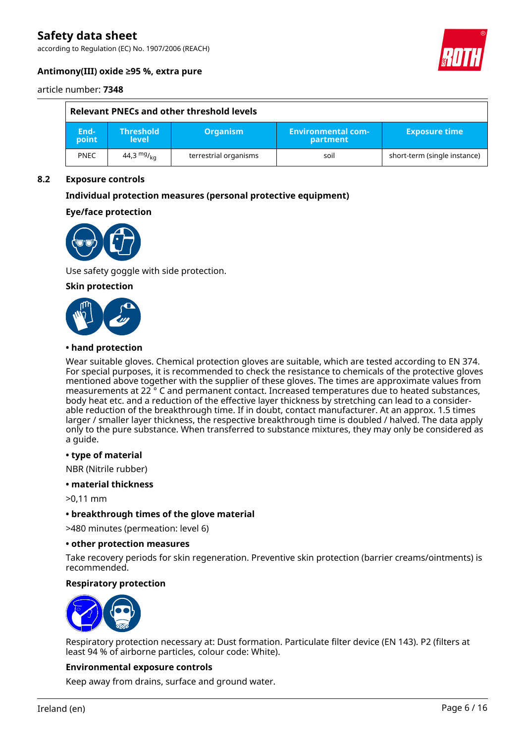according to Regulation (EC) No. 1907/2006 (REACH)



### **Antimony(III) oxide ≥95 %, extra pure**

article number: **7348**

| Relevant PNECs and other threshold levels |                                  |                       |                                       |                              |
|-------------------------------------------|----------------------------------|-----------------------|---------------------------------------|------------------------------|
| End-<br>point                             | <b>Threshold</b><br><b>level</b> | <b>Organism</b>       | <b>Environmental com-</b><br>partment | <b>Exposure time</b>         |
| <b>PNEC</b>                               | 44,3 $mg/_{ka}$                  | terrestrial organisms | soil                                  | short-term (single instance) |

### **8.2 Exposure controls**

### **Individual protection measures (personal protective equipment)**

### **Eye/face protection**



Use safety goggle with side protection.

**Skin protection**



### **• hand protection**

Wear suitable gloves. Chemical protection gloves are suitable, which are tested according to EN 374. For special purposes, it is recommended to check the resistance to chemicals of the protective gloves mentioned above together with the supplier of these gloves. The times are approximate values from measurements at 22 ° C and permanent contact. Increased temperatures due to heated substances, body heat etc. and a reduction of the effective layer thickness by stretching can lead to a considerable reduction of the breakthrough time. If in doubt, contact manufacturer. At an approx. 1.5 times larger / smaller layer thickness, the respective breakthrough time is doubled / halved. The data apply only to the pure substance. When transferred to substance mixtures, they may only be considered as a guide.

#### **• type of material**

NBR (Nitrile rubber)

**• material thickness**

>0,11 mm

**• breakthrough times of the glove material**

>480 minutes (permeation: level 6)

#### **• other protection measures**

Take recovery periods for skin regeneration. Preventive skin protection (barrier creams/ointments) is recommended.

### **Respiratory protection**



Respiratory protection necessary at: Dust formation. Particulate filter device (EN 143). P2 (filters at least 94 % of airborne particles, colour code: White).

#### **Environmental exposure controls**

Keep away from drains, surface and ground water.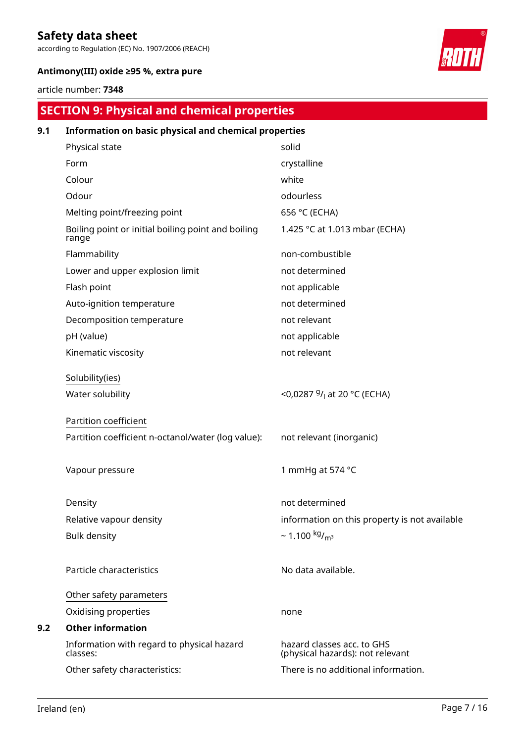according to Regulation (EC) No. 1907/2006 (REACH)



### **Antimony(III) oxide ≥95 %, extra pure**

### article number: **7348**

# **SECTION 9: Physical and chemical properties**

| 9.1 | Information on basic physical and chemical properties       |                                                                |
|-----|-------------------------------------------------------------|----------------------------------------------------------------|
|     | Physical state                                              | solid                                                          |
|     | Form                                                        | crystalline                                                    |
|     | Colour                                                      | white                                                          |
|     | Odour                                                       | odourless                                                      |
|     | Melting point/freezing point                                | 656 °C (ECHA)                                                  |
|     | Boiling point or initial boiling point and boiling<br>range | 1.425 °C at 1.013 mbar (ECHA)                                  |
|     | Flammability                                                | non-combustible                                                |
|     | Lower and upper explosion limit                             | not determined                                                 |
|     | Flash point                                                 | not applicable                                                 |
|     | Auto-ignition temperature                                   | not determined                                                 |
|     | Decomposition temperature                                   | not relevant                                                   |
|     | pH (value)                                                  | not applicable                                                 |
|     | Kinematic viscosity                                         | not relevant                                                   |
|     | Solubility(ies)                                             |                                                                |
|     | Water solubility                                            | <0,0287 <sup>g</sup> / <sub>l</sub> at 20 °C (ECHA)            |
|     | Partition coefficient                                       |                                                                |
|     | Partition coefficient n-octanol/water (log value):          | not relevant (inorganic)                                       |
|     | Vapour pressure                                             | 1 mmHq at 574 °C                                               |
|     | Density                                                     | not determined                                                 |
|     | Relative vapour density                                     | information on this property is not available                  |
|     | <b>Bulk density</b>                                         | $\sim$ 1.100 kg/ <sub>m<sup>3</sup></sub>                      |
|     | Particle characteristics                                    | No data available.                                             |
|     | Other safety parameters                                     |                                                                |
|     | Oxidising properties                                        | none                                                           |
| 9.2 | <b>Other information</b>                                    |                                                                |
|     | Information with regard to physical hazard<br>classes:      | hazard classes acc. to GHS<br>(physical hazards): not relevant |
|     | Other safety characteristics:                               | There is no additional information.                            |
|     |                                                             |                                                                |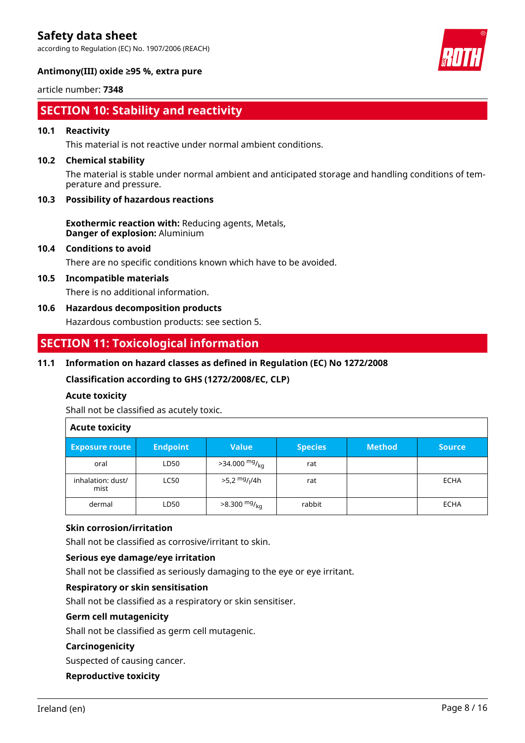according to Regulation (EC) No. 1907/2006 (REACH)



article number: **7348**

# **SECTION 10: Stability and reactivity**

### **10.1 Reactivity**

This material is not reactive under normal ambient conditions.

### **10.2 Chemical stability**

The material is stable under normal ambient and anticipated storage and handling conditions of temperature and pressure.

### **10.3 Possibility of hazardous reactions**

**Exothermic reaction with:** Reducing agents, Metals, **Danger of explosion:** Aluminium

### **10.4 Conditions to avoid**

There are no specific conditions known which have to be avoided.

### **10.5 Incompatible materials**

There is no additional information.

### **10.6 Hazardous decomposition products**

Hazardous combustion products: see section 5.

### **SECTION 11: Toxicological information**

### **11.1 Information on hazard classes as defined in Regulation (EC) No 1272/2008**

**Classification according to GHS (1272/2008/EC, CLP)**

### **Acute toxicity**

Shall not be classified as acutely toxic.

### **Acute toxicity**

| <b>Exposure route</b>     | <b>Endpoint</b> | <b>Value</b>                          | <b>Species</b> | <b>Method</b> | <b>Source</b> |
|---------------------------|-----------------|---------------------------------------|----------------|---------------|---------------|
| oral                      | LD50            | $>34.000$ mg/ <sub>kg</sub>           | rat            |               |               |
| inhalation: dust/<br>mist | <b>LC50</b>     | >5,2 <sup>mg</sup> / <sub>l</sub> /4h | rat            |               | <b>ECHA</b>   |
| dermal                    | LD50            | $>8.300$ mg/ <sub>kg</sub>            | rabbit         |               | <b>ECHA</b>   |

### **Skin corrosion/irritation**

Shall not be classified as corrosive/irritant to skin.

### **Serious eye damage/eye irritation**

Shall not be classified as seriously damaging to the eye or eye irritant.

### **Respiratory or skin sensitisation**

Shall not be classified as a respiratory or skin sensitiser.

### **Germ cell mutagenicity**

Shall not be classified as germ cell mutagenic.

### **Carcinogenicity**

Suspected of causing cancer.

### **Reproductive toxicity**

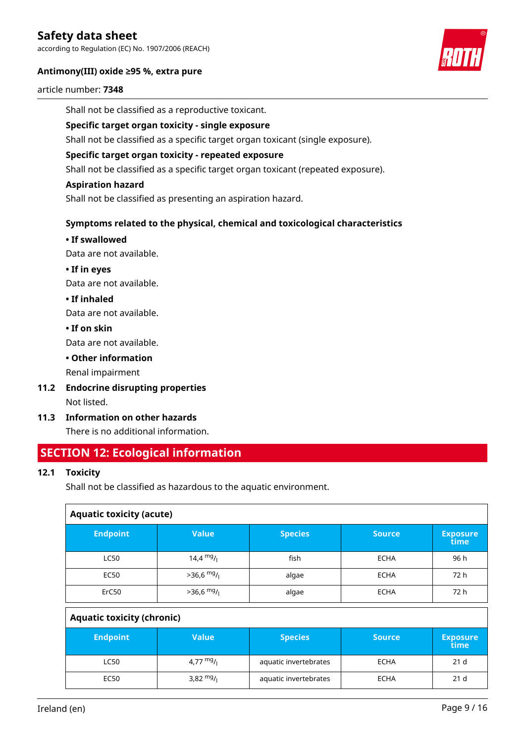according to Regulation (EC) No. 1907/2006 (REACH)

### **Antimony(III) oxide ≥95 %, extra pure**



#### article number: **7348**

Shall not be classified as a reproductive toxicant.

### **Specific target organ toxicity - single exposure**

Shall not be classified as a specific target organ toxicant (single exposure).

### **Specific target organ toxicity - repeated exposure**

Shall not be classified as a specific target organ toxicant (repeated exposure).

### **Aspiration hazard**

Shall not be classified as presenting an aspiration hazard.

### **Symptoms related to the physical, chemical and toxicological characteristics**

### **• If swallowed**

Data are not available.

**• If in eyes**

Data are not available.

**• If inhaled**

Data are not available.

**• If on skin**

Data are not available.

### **• Other information**

Renal impairment

- **11.2 Endocrine disrupting properties** Not listed.
- **11.3 Information on other hazards**

There is no additional information.

### **SECTION 12: Ecological information**

### **12.1 Toxicity**

Shall not be classified as hazardous to the aquatic environment.

| <b>Aquatic toxicity (acute)</b> |                         |                |               |                         |  |  |
|---------------------------------|-------------------------|----------------|---------------|-------------------------|--|--|
| <b>Endpoint</b>                 | <b>Value</b>            | <b>Species</b> | <b>Source</b> | <b>Exposure</b><br>time |  |  |
| <b>LC50</b>                     | $14,4$ mg/ <sub>1</sub> | fish           | <b>ECHA</b>   | 96 h                    |  |  |
| <b>EC50</b>                     | $>36,6$ mg/             | algae          | <b>ECHA</b>   | 72 h                    |  |  |
| ErC50                           | $>36,6$ mg/             | algae          | <b>ECHA</b>   | 72 h                    |  |  |
| Anuatic toxicity (chronic)      |                         |                |               |                         |  |  |

| <b>Ayuatic COAILITY (CITIONIC)</b> |             |                       |               |                         |  |
|------------------------------------|-------------|-----------------------|---------------|-------------------------|--|
| <b>Endpoint</b>                    | Value       | <b>Species</b>        | <b>Source</b> | <b>Exposure</b><br>time |  |
| <b>LC50</b>                        | 4,77 $mg/1$ | aquatic invertebrates | <b>ECHA</b>   | 21 <sub>d</sub>         |  |
| <b>EC50</b>                        | 3,82 $mg/$  | aquatic invertebrates | <b>ECHA</b>   | 21 <sub>d</sub>         |  |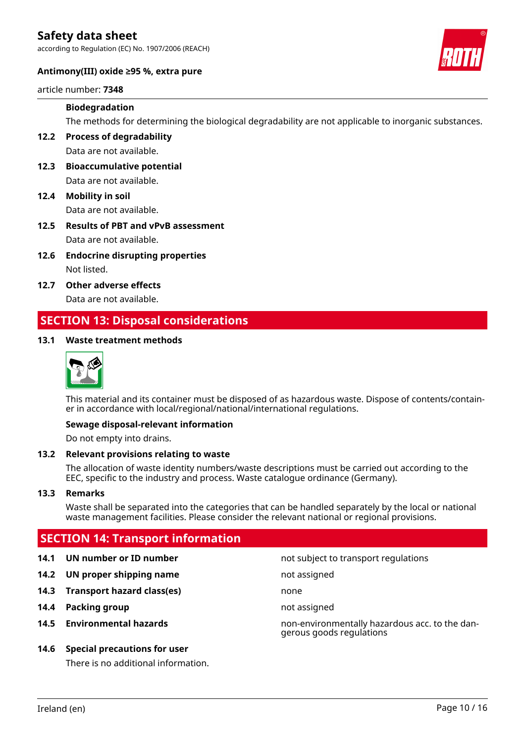according to Regulation (EC) No. 1907/2006 (REACH)



### **Antimony(III) oxide ≥95 %, extra pure**

article number: **7348**

### **Biodegradation**

The methods for determining the biological degradability are not applicable to inorganic substances.

**12.2 Process of degradability** Data are not available.

- **12.3 Bioaccumulative potential** Data are not available.
- **12.4 Mobility in soil** Data are not available.
- **12.5 Results of PBT and vPvB assessment** Data are not available.
- **12.6 Endocrine disrupting properties** Not listed.
- **12.7 Other adverse effects** Data are not available.

# **SECTION 13: Disposal considerations**

### **13.1 Waste treatment methods**



This material and its container must be disposed of as hazardous waste. Dispose of contents/container in accordance with local/regional/national/international regulations.

### **Sewage disposal-relevant information**

Do not empty into drains.

### **13.2 Relevant provisions relating to waste**

The allocation of waste identity numbers/waste descriptions must be carried out according to the EEC, specific to the industry and process. Waste catalogue ordinance (Germany).

#### **13.3 Remarks**

Waste shall be separated into the categories that can be handled separately by the local or national waste management facilities. Please consider the relevant national or regional provisions.

### **SECTION 14: Transport information**

- 
- **14.2 UN proper shipping name** not assigned
- **14.3 Transport hazard class(es)** none
- **14.4 Packing group not assigned**
- 

### **14.6 Special precautions for user**

There is no additional information.

**14.1 UN number or ID number not subject to transport regulations** 

**14.5 Environmental hazards** non-environmentally hazardous acc. to the dangerous goods regulations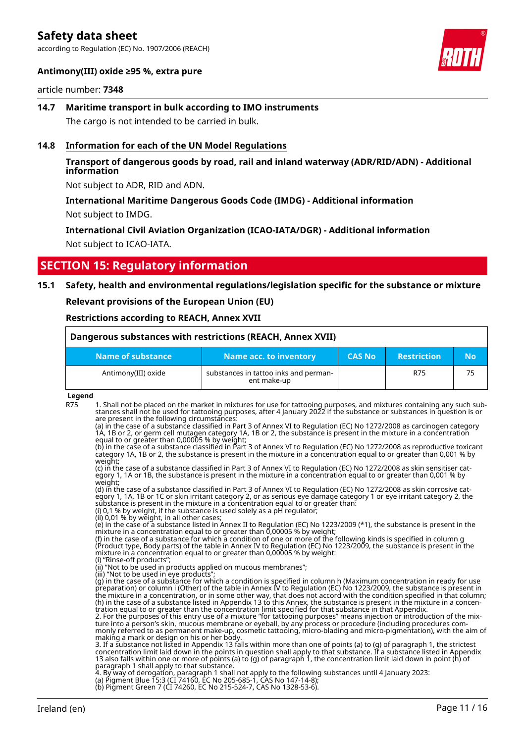according to Regulation (EC) No. 1907/2006 (REACH)



### **Antimony(III) oxide ≥95 %, extra pure**

### article number: **7348**

**14.7 Maritime transport in bulk according to IMO instruments** The cargo is not intended to be carried in bulk.

#### **14.8 Information for each of the UN Model Regulations**

### **Transport of dangerous goods by road, rail and inland waterway (ADR/RID/ADN) - Additional information**

Not subject to ADR, RID and ADN.

### **International Maritime Dangerous Goods Code (IMDG) - Additional information** Not subject to IMDG.

### **International Civil Aviation Organization (ICAO-IATA/DGR) - Additional information** Not subject to ICAO-IATA.

### **SECTION 15: Regulatory information**

### **15.1 Safety, health and environmental regulations/legislation specific for the substance or mixture**

**Relevant provisions of the European Union (EU)**

#### **Restrictions according to REACH, Annex XVII**

| Dangerous substances with restrictions (REACH, Annex XVII) |                                                      |               |                    |     |  |
|------------------------------------------------------------|------------------------------------------------------|---------------|--------------------|-----|--|
| Name of substance                                          | Name acc. to inventory                               | <b>CAS No</b> | <b>Restriction</b> | No. |  |
| Antimony(III) oxide                                        | substances in tattoo inks and perman-<br>ent make-up |               | R75                | 75  |  |

#### **Legend**

R75 1. Shall not be placed on the market in mixtures for use for tattooing purposes, and mixtures containing any such substances shall not be used for tattooing purposes, after 4 January 2022 if the substance or substances in question is or are present in the following circumstances:

(a) in the case of a substance classified in Part 3 of Annex VI to Regulation (EC) No 1272/2008 as carcinogen category 1A, 1B or 2, or germ cell mutagen category 1A, 1B or 2, the substance is present in the mixture in a concentration equal to or greater than 0,00005 % by weight;

(b) in the case of a substance classified in Part 3 of Annex VI to Regulation (EC) No 1272/2008 as reproductive toxicant category 1A, 1B or 2, the substance is present in the mixture in a concentration equal to or greater than 0,001 % by weight;

(c) in the case of a substance classified in Part 3 of Annex VI to Regulation (EC) No 1272/2008 as skin sensitiser category 1, 1A or 1B, the substance is present in the mixture in a concentration equal to or greater than 0,001 % by weight;

(d) in the case of a substance classified in Part 3 of Annex VI to Regulation (EC) No 1272/2008 as skin corrosive category 1, 1A, 1B or 1C or skin irritant category 2, or as serious eye damage category 1 or eye irritant category 2, the substance is present in the mixture in a concentration equal to or greater than.

(i) 0,1 % by weight, if the substance is used solely as a pH regulator; (ii) 0,01 % by weight, in all other cases;

(e) in the case of a substance listed in Annex II to Regulation (EC) No 1223/2009 (\*1), the substance is present in the mixture in a concentration equal to or greater than 0,00005 % by weight;

(f) in the case of a substance for which a condition of one or more of the following kinds is specified in column g (Product type, Body parts) of the table in Annex IV to Regulation (EC) No 1223/2009, the substance is present in the mixture in a concentration equal to or greater than 0,00005 % by weight: (i) "Rinse-off products";

(ii) "Not to be used in products applied on mucous membranes";

(iii) "Not to be used in eye products"

(g) in the case of a substance for which a condition is specified in column h (Maximum concentration in ready for use preparation) or column i (Other) of the table in Annex IV to Regulation (EC) No 1223/2009, the substance is present in the mixture in a concentration, or in some other way, that does not accord with the condition specified in that column; (h) in the case of a substance listed in Appendix 13 to this Annex, the substance is present in the mixture in a concentration equal to or greater than the concentration limit specified for that substance in that Appendix.

2. For the purposes of this entry use of a mixture "for tattooing purposes" means injection or introduction of the mixture into a person's skin, mucous membrane or eyeball, by any process or procedure (including procedures commonly referred to as permanent make-up, cosmetic tattooing, micro-blading and micro-pigmentation), with the aim of making a mark or design on his or her body.

3. If a substance not listed in Appendix 13 falls within more than one of points (a) to (g) of paragraph 1, the strictest concentration limit laid down in the points in question shall apply to that substance. If a substance listed in Appendix 13 also falls within one or more of points (a) to (g) of paragraph 1, the concentration limit laid down in point (h) of paragraph 1 shall apply to that substance.

4. By way of derogation, paragraph 1 shall not apply to the following substances until 4 January 2023:

(a) Pigment Blue 15:3 (CI 74160, EC No 205-685-1, CAS No 147-14-8);

<sup>(</sup>b) Pigment Green 7 (CI 74260, EC No 215-524-7, CAS No 1328-53-6).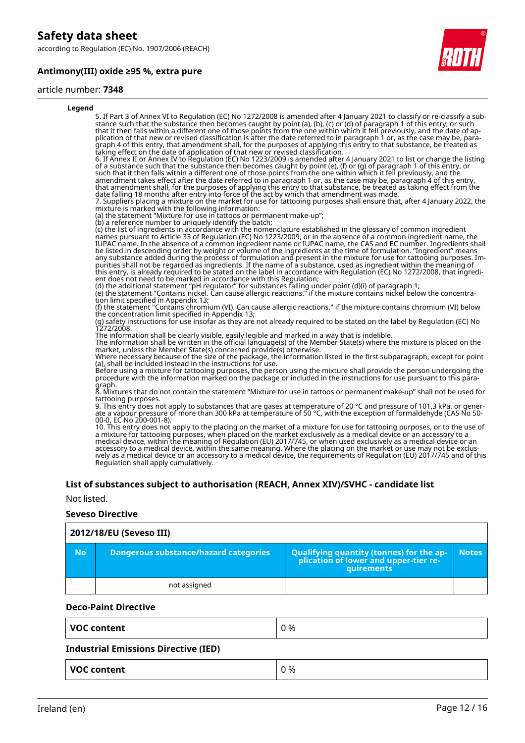according to Regulation (EC) No. 1907/2006 (REACH)

### **Antimony(III) oxide ≥95 %, extra pure**



#### article number: **7348**

#### **Legend** 5. If Part 3 of Annex VI to Regulation (EC) No 1272/2008 is amended after 4 January 2021 to classify or re-classify a substance such that the substance then becomes caught by point (a), (b), (c) or (d) of paragraph 1 of this entry, or such that it then falls within a different one of those points from the one within which it fell previously, and the date of application of that new or revised classification is after the date referred to in paragraph 1 or, as the case may be, paragraph 4 of this entry, that amendment shall, for the purposes of applying this entry to that substance, be treated as taking effect on the date of application of that new or revised classification. 6. If Annex II or Annex IV to Regulation (EC) No 1223/2009 is amended after 4 January 2021 to list or change the listing of a substance such that the substance then becomes caught by point (e), (f) or (g) of paragraph 1 of this entry, or such that it then falls within a different one of those points from the one within which it fell previously, and the amendment takes effect after the date referred to in paragraph 1 or, as the case may be, paragraph 4 of this entry, that amendment shall, for the purposes of applying this entry to that substance, be treated as taking effect from the date falling 18 months after entry into force of the act by which that amendment was made. 7. Suppliers placing a mixture on the market for use for tattooing purposes shall ensure that, after 4 January 2022, the mixture is marked with the following information: (a) the statement "Mixture for use in tattoos or permanent make-up"; (b) a reference number to uniquely identify the batch; (c) the list of ingredients in accordance with the nomenclature established in the glossary of common ingredient names pursuant to Article 33 of Regulation (EC) No 1223/2009, or in the absence of a common ingredient name, the IUPAC name. In the absence of a common ingredient name or IUPAC name, the CAS and EC number. Ingredients shall be listed in descending order by weight or volume of the ingredients at the time of formulation. "Ingredient" means any substance added during the process of formulation and present in the mixture for use for tattooing purposes. Impurities shall not be regarded as ingredients. If the name of a substance, used as ingredient within the meaning of this entry, is already required to be stated on the label in accordance with Regulation (EC) No 1272/2008, that ingredient does not need to be marked in accordance with this Regulation; (d) the additional statement "pH regulator" for substances falling under point (d)(i) of paragraph 1; (e) the statement "Contains nickel. Can cause allergic reactions." if the mixture contains nickel below the concentration limit specified in Appendix 13; (f) the statement "Contains chromium (VI). Can cause allergic reactions." if the mixture contains chromium (VI) below the concentration limit specified in Appendix 13; (g) safety instructions for use insofar as they are not already required to be stated on the label by Regulation (EC) No 1272/2008. The information shall be clearly visible, easily legible and marked in a way that is indelible. The information shall be written in the official language(s) of the Member State(s) where the mixture is placed on the market, unless the Member State(s) concerned provide(s) otherwise. Where necessary because of the size of the package, the information listed in the first subparagraph, except for point (a), shall be included instead in the instructions for use. Before using a mixture for tattooing purposes, the person using the mixture shall provide the person undergoing the procedure with the information marked on the package or included in the instructions for use pursuant to this paragraph. 8. Mixtures that do not contain the statement "Mixture for use in tattoos or permanent make-up" shall not be used for tattooing purposes. 9. This entry does not apply to substances that are gases at temperature of 20 °C and pressure of 101,3 kPa, or generate a vapour pressure of more than 300 kPa at temperature of 50 °C, with the exception of formaldehyde (CAS No 50- 00-0, EC No 200-001-8).

10. This entry does not apply to the placing on the market of a mixture for use for tattooing purposes, or to the use of a mixture for tattooing purposes, when placed on the market exclusively as a medical device or an accessory to a medical device, within the meaning of Regulation (EU) 2017/745, or when used exclusively as a medical device or an accessory to a medical device, within the same meaning. Where the placing on the market or use may not be exclusively as a medical device or an accessory to a medical device, the requirements of Regulation (EU) 2017/745 and of this Regulation shall apply cumulatively.

#### **List of substances subject to authorisation (REACH, Annex XIV)/SVHC - candidate list**

Not listed.

#### **Seveso Directive**

|     | 2012/18/EU (Seveso III)               |                                                                                            |              |  |  |  |  |
|-----|---------------------------------------|--------------------------------------------------------------------------------------------|--------------|--|--|--|--|
| No. | Dangerous substance/hazard categories | Qualifying quantity (tonnes) for the application of lower and upper-tier re-<br>quirements | <b>Notes</b> |  |  |  |  |
|     | not assigned                          |                                                                                            |              |  |  |  |  |

#### **Deco-Paint Directive**

| <b>VOC content</b> | 0% |
|--------------------|----|
|                    |    |

### **Industrial Emissions Directive (IED)**

| VOC content | %         |
|-------------|-----------|
| - - - - -   | $\cdot$ . |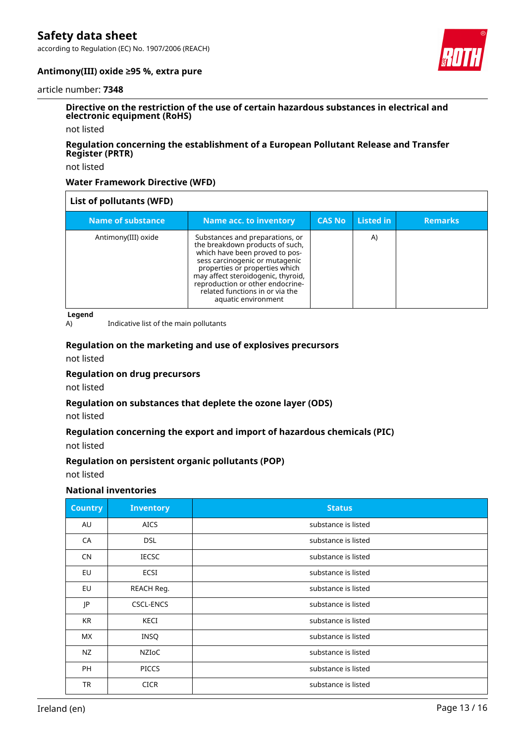according to Regulation (EC) No. 1907/2006 (REACH)



### **Antimony(III) oxide ≥95 %, extra pure**

#### article number: **7348**

### **Directive on the restriction of the use of certain hazardous substances in electrical and electronic equipment (RoHS)**

not listed

### **Regulation concerning the establishment of a European Pollutant Release and Transfer Register (PRTR)**

not listed

### **Water Framework Directive (WFD)**

| List of pollutants (WFD) |                                                                                                                                                                                                                                                                                                              |               |           |                |  |  |
|--------------------------|--------------------------------------------------------------------------------------------------------------------------------------------------------------------------------------------------------------------------------------------------------------------------------------------------------------|---------------|-----------|----------------|--|--|
| Name of substance        | Name acc. to inventory                                                                                                                                                                                                                                                                                       | <b>CAS No</b> | Listed in | <b>Remarks</b> |  |  |
| Antimony(III) oxide      | Substances and preparations, or<br>the breakdown products of such,<br>which have been proved to pos-<br>sess carcinogenic or mutagenic<br>properties or properties which<br>may affect steroidogenic, thyroid,<br>reproduction or other endocrine-<br>related functions in or via the<br>aquatic environment |               | A)        |                |  |  |

**Legend**

A) Indicative list of the main pollutants

# **Regulation on the marketing and use of explosives precursors**

not listed

### **Regulation on drug precursors**

not listed

### **Regulation on substances that deplete the ozone layer (ODS)**

not listed

### **Regulation concerning the export and import of hazardous chemicals (PIC)**

not listed

### **Regulation on persistent organic pollutants (POP)**

not listed

### **National inventories**

| <b>Country</b> | <b>Inventory</b> | <b>Status</b>       |
|----------------|------------------|---------------------|
| AU             | <b>AICS</b>      | substance is listed |
| CA             | <b>DSL</b>       | substance is listed |
| <b>CN</b>      | <b>IECSC</b>     | substance is listed |
| EU             | <b>ECSI</b>      | substance is listed |
| EU             | REACH Req.       | substance is listed |
| JP             | <b>CSCL-ENCS</b> | substance is listed |
| KR             | KECI             | substance is listed |
| МX             | <b>INSQ</b>      | substance is listed |
| NZ             | NZIoC            | substance is listed |
| <b>PH</b>      | <b>PICCS</b>     | substance is listed |
| <b>TR</b>      | <b>CICR</b>      | substance is listed |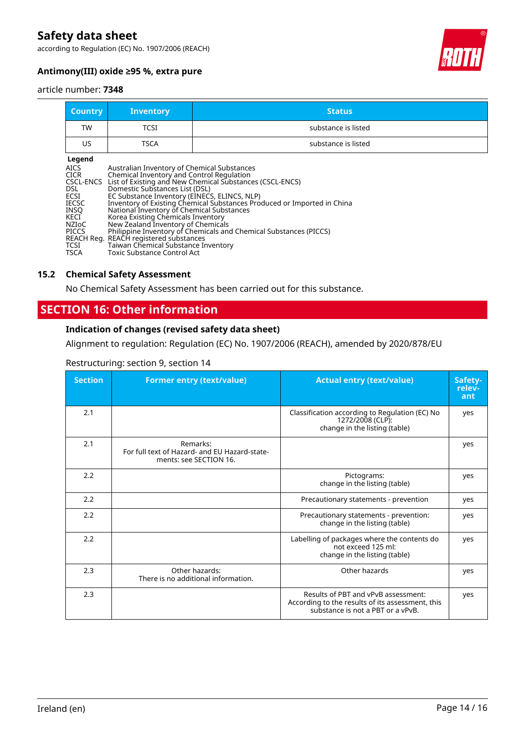according to Regulation (EC) No. 1907/2006 (REACH)



### **Antimony(III) oxide ≥95 %, extra pure**

#### article number: **7348**

| <b>Country</b>                                                                                                                     | <b>Inventory</b>                                                                                                                                                                                                                                                                                                                                                                     | <b>Status</b>                                                                                                                                                                                            |
|------------------------------------------------------------------------------------------------------------------------------------|--------------------------------------------------------------------------------------------------------------------------------------------------------------------------------------------------------------------------------------------------------------------------------------------------------------------------------------------------------------------------------------|----------------------------------------------------------------------------------------------------------------------------------------------------------------------------------------------------------|
| TW                                                                                                                                 | <b>TCSI</b>                                                                                                                                                                                                                                                                                                                                                                          | substance is listed                                                                                                                                                                                      |
| US                                                                                                                                 | <b>TSCA</b>                                                                                                                                                                                                                                                                                                                                                                          | substance is listed                                                                                                                                                                                      |
| Legend<br><b>AICS</b><br>CICR<br>CSCL-ENCS<br>DSL.<br>ECSI<br><b>IECSC</b><br><b>INSO</b><br>KECI<br>NZIoC<br><b>PICCS</b><br>TCSI | Australian Inventory of Chemical Substances<br>Chemical Inventory and Control Regulation<br>Domestic Substances List (DSL)<br>EC Substance Inventory (EINECS, ELINCS, NLP)<br>National Inventory of Chemical Substances<br>Korea Existing Chemicals Inventory<br>New Zealand Inventory of Chemicals<br>REACH Reg. REACH registered substances<br>Taiwan Chemical Substance Inventory | List of Existing and New Chemical Substances (CSCL-ENCS)<br>Inventory of Existing Chemical Substances Produced or Imported in China<br>Philippine Inventory of Chemicals and Chemical Substances (PICCS) |

### **15.2 Chemical Safety Assessment**

No Chemical Safety Assessment has been carried out for this substance.

### **SECTION 16: Other information**

### **Indication of changes (revised safety data sheet)**

Alignment to regulation: Regulation (EC) No. 1907/2006 (REACH), amended by 2020/878/EU

| Restructuring: section 9, section 14 |  |  |
|--------------------------------------|--|--|
|                                      |  |  |

| <b>Section</b> | <b>Former entry (text/value)</b>                                                    | <b>Actual entry (text/value)</b>                                                                                             | Safety-<br>relev-<br>ant |
|----------------|-------------------------------------------------------------------------------------|------------------------------------------------------------------------------------------------------------------------------|--------------------------|
| 2.1            |                                                                                     | Classification according to Regulation (EC) No<br>1272/2008 (CLP):<br>change in the listing (table)                          | yes                      |
| 2.1            | Remarks:<br>For full text of Hazard- and EU Hazard-state-<br>ments: see SECTION 16. |                                                                                                                              | yes                      |
| 2.2            |                                                                                     | Pictograms:<br>change in the listing (table)                                                                                 | yes                      |
| 2.2            |                                                                                     | Precautionary statements - prevention                                                                                        | yes                      |
| 2.2            |                                                                                     | Precautionary statements - prevention:<br>change in the listing (table)                                                      | yes                      |
| 2.2            |                                                                                     | Labelling of packages where the contents do<br>not exceed 125 ml:<br>change in the listing (table)                           | yes                      |
| 2.3            | Other hazards:<br>There is no additional information.                               | Other hazards                                                                                                                | yes                      |
| 2.3            |                                                                                     | Results of PBT and vPvB assessment:<br>According to the results of its assessment, this<br>substance is not a PBT or a vPvB. | yes                      |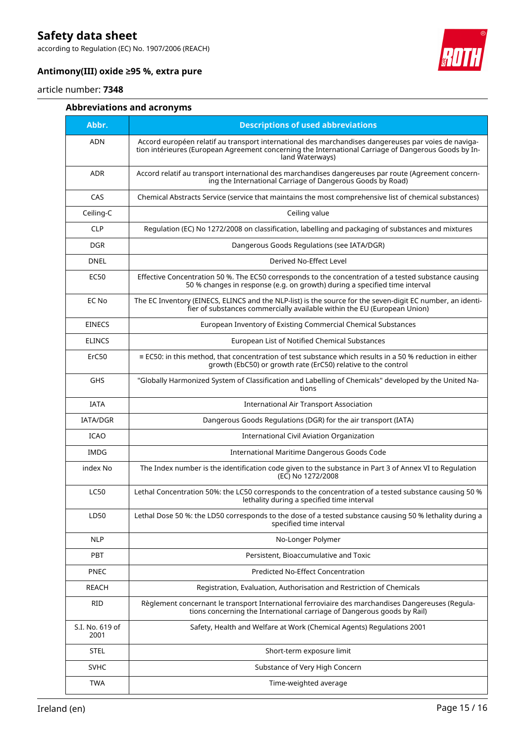according to Regulation (EC) No. 1907/2006 (REACH)



### **Antimony(III) oxide ≥95 %, extra pure**

### article number: **7348**

### **Abbreviations and acronyms**

| Abbr.                   | <b>Descriptions of used abbreviations</b>                                                                                                                                                                                       |
|-------------------------|---------------------------------------------------------------------------------------------------------------------------------------------------------------------------------------------------------------------------------|
| <b>ADN</b>              | Accord européen relatif au transport international des marchandises dangereuses par voies de naviga-<br>tion intérieures (European Agreement concerning the International Carriage of Dangerous Goods by In-<br>land Waterways) |
| <b>ADR</b>              | Accord relatif au transport international des marchandises dangereuses par route (Agreement concern-<br>ing the International Carriage of Dangerous Goods by Road)                                                              |
| CAS                     | Chemical Abstracts Service (service that maintains the most comprehensive list of chemical substances)                                                                                                                          |
| Ceiling-C               | Ceiling value                                                                                                                                                                                                                   |
| <b>CLP</b>              | Regulation (EC) No 1272/2008 on classification, labelling and packaging of substances and mixtures                                                                                                                              |
| <b>DGR</b>              | Dangerous Goods Regulations (see IATA/DGR)                                                                                                                                                                                      |
| <b>DNEL</b>             | Derived No-Effect Level                                                                                                                                                                                                         |
| <b>EC50</b>             | Effective Concentration 50 %. The EC50 corresponds to the concentration of a tested substance causing<br>50 % changes in response (e.g. on growth) during a specified time interval                                             |
| EC No                   | The EC Inventory (EINECS, ELINCS and the NLP-list) is the source for the seven-digit EC number, an identi-<br>fier of substances commercially available within the EU (European Union)                                          |
| <b>EINECS</b>           | European Inventory of Existing Commercial Chemical Substances                                                                                                                                                                   |
| <b>ELINCS</b>           | European List of Notified Chemical Substances                                                                                                                                                                                   |
| ErC50                   | $\equiv$ EC50: in this method, that concentration of test substance which results in a 50 % reduction in either<br>growth (EbC50) or growth rate (ErC50) relative to the control                                                |
| <b>GHS</b>              | "Globally Harmonized System of Classification and Labelling of Chemicals" developed by the United Na-<br>tions                                                                                                                  |
| <b>IATA</b>             | <b>International Air Transport Association</b>                                                                                                                                                                                  |
| <b>IATA/DGR</b>         | Dangerous Goods Regulations (DGR) for the air transport (IATA)                                                                                                                                                                  |
| <b>ICAO</b>             | International Civil Aviation Organization                                                                                                                                                                                       |
| <b>IMDG</b>             | International Maritime Dangerous Goods Code                                                                                                                                                                                     |
| index No                | The Index number is the identification code given to the substance in Part 3 of Annex VI to Regulation<br>(EC) No 1272/2008                                                                                                     |
| <b>LC50</b>             | Lethal Concentration 50%: the LC50 corresponds to the concentration of a tested substance causing 50 %<br>lethality during a specified time interval                                                                            |
| LD50                    | Lethal Dose 50 %: the LD50 corresponds to the dose of a tested substance causing 50 % lethality during a<br>specified time interval                                                                                             |
| <b>NLP</b>              | No-Longer Polymer                                                                                                                                                                                                               |
| <b>PBT</b>              | Persistent, Bioaccumulative and Toxic                                                                                                                                                                                           |
| <b>PNEC</b>             | Predicted No-Effect Concentration                                                                                                                                                                                               |
| <b>REACH</b>            | Registration, Evaluation, Authorisation and Restriction of Chemicals                                                                                                                                                            |
| <b>RID</b>              | Règlement concernant le transport International ferroviaire des marchandises Dangereuses (Regula-<br>tions concerning the International carriage of Dangerous goods by Rail)                                                    |
| S.I. No. 619 of<br>2001 | Safety, Health and Welfare at Work (Chemical Agents) Regulations 2001                                                                                                                                                           |
| <b>STEL</b>             | Short-term exposure limit                                                                                                                                                                                                       |
| <b>SVHC</b>             | Substance of Very High Concern                                                                                                                                                                                                  |
| <b>TWA</b>              | Time-weighted average                                                                                                                                                                                                           |